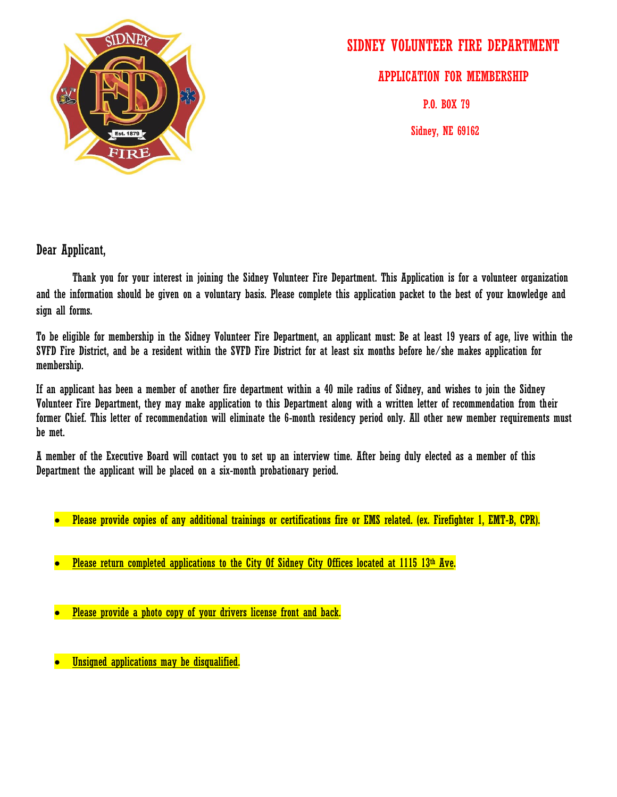

# SIDNEY VOLUNTEER FIRE DEPARTMENT

APPLICATION FOR MEMBERSHIP

P.O. BOX 79

Sidney, NE 69162

Dear Applicant,

Thank you for your interest in joining the Sidney Volunteer Fire Department. This Application is for a volunteer organization and the information should be given on a voluntary basis. Please complete this application packet to the best of your knowledge and sign all forms.

To be eligible for membership in the Sidney Volunteer Fire Department, an applicant must: Be at least 19 years of age, live within the SVFD Fire District, and be a resident within the SVFD Fire District for at least six months before he/she makes application for membership.

If an applicant has been a member of another fire department within a 40 mile radius of Sidney, and wishes to join the Sidney Volunteer Fire Department, they may make application to this Department along with a written letter of recommendation from their former Chief. This letter of recommendation will eliminate the 6-month residency period only. All other new member requirements must be met.

A member of the Executive Board will contact you to set up an interview time. After being duly elected as a member of this Department the applicant will be placed on a six-month probationary period.

- Please provide copies of any additional trainings or certifications fire or EMS related. (ex. Firefighter 1, EMT-B, CPR).
- Please return completed applications to the City Of Sidney City Offices located at 1115 13th Ave.
- Please provide a photo copy of your drivers license front and back.

Unsigned applications may be disqualified.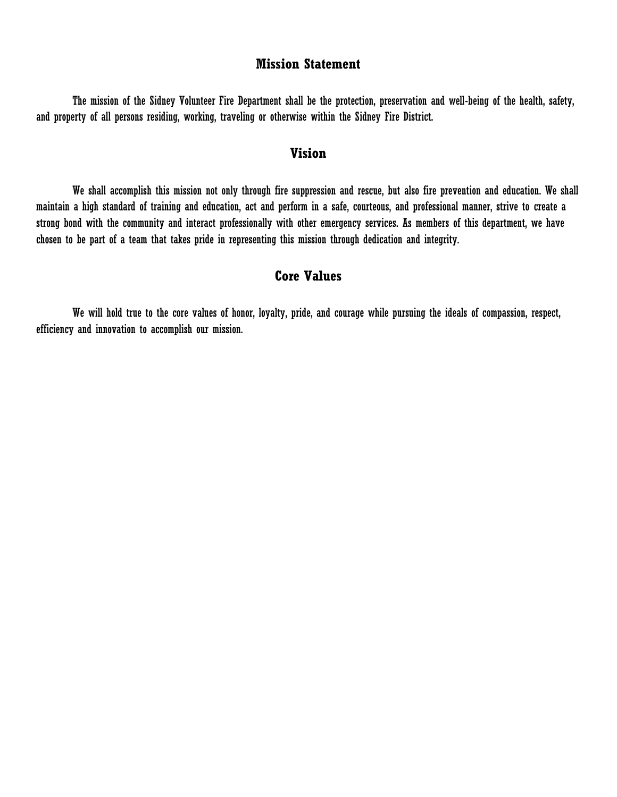#### **Mission Statement**

The mission of the Sidney Volunteer Fire Department shall be the protection, preservation and well-being of the health, safety, and property of all persons residing, working, traveling or otherwise within the Sidney Fire District.

## **Vision**

We shall accomplish this mission not only through fire suppression and rescue, but also fire prevention and education. We shall maintain a high standard of training and education, act and perform in a safe, courteous, and professional manner, strive to create a strong bond with the community and interact professionally with other emergency services. As members of this department, we have chosen to be part of a team that takes pride in representing this mission through dedication and integrity.

## **Core Values**

We will hold true to the core values of honor, loyalty, pride, and courage while pursuing the ideals of compassion, respect, efficiency and innovation to accomplish our mission.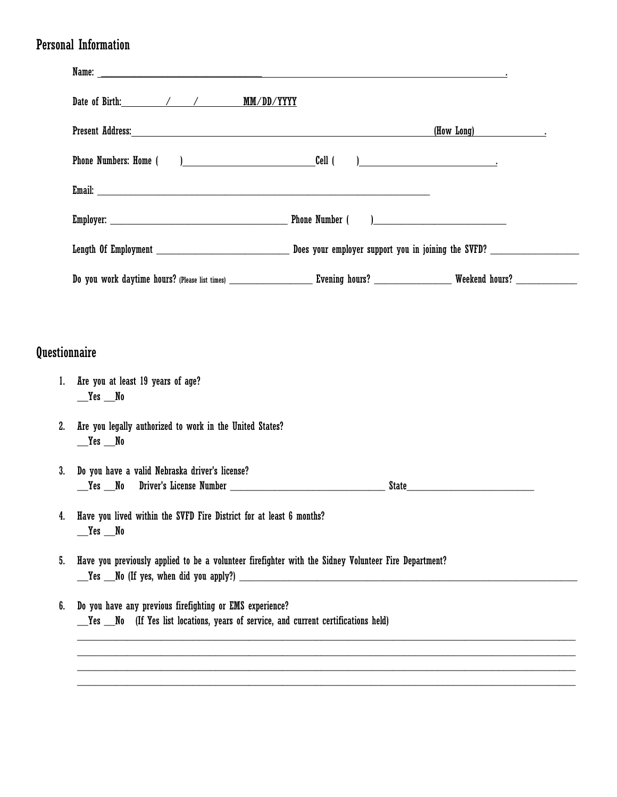# Personal Information

|                      | Present Address: The Second Second Second Second Second Second Second Second Second Second Second Second Second Second Second Second Second Second Second Second Second Second Second Second Second Second Second Second Secon<br>(How Long) |  |  |  |  |  |  |
|----------------------|----------------------------------------------------------------------------------------------------------------------------------------------------------------------------------------------------------------------------------------------|--|--|--|--|--|--|
|                      |                                                                                                                                                                                                                                              |  |  |  |  |  |  |
|                      |                                                                                                                                                                                                                                              |  |  |  |  |  |  |
|                      |                                                                                                                                                                                                                                              |  |  |  |  |  |  |
|                      |                                                                                                                                                                                                                                              |  |  |  |  |  |  |
|                      |                                                                                                                                                                                                                                              |  |  |  |  |  |  |
|                      |                                                                                                                                                                                                                                              |  |  |  |  |  |  |
| <b>Questionnaire</b> |                                                                                                                                                                                                                                              |  |  |  |  |  |  |
| 1.                   | Are you at least 19 years of age?<br>$r = Y$ es $r = N$ o                                                                                                                                                                                    |  |  |  |  |  |  |
| 2.                   | Are you legally authorized to work in the United States?<br>$r = Y$ es $N_0$                                                                                                                                                                 |  |  |  |  |  |  |
| 3.                   | Do you have a valid Nebraska driver's license?<br>State <b>State State State State State</b>                                                                                                                                                 |  |  |  |  |  |  |
|                      | Have you lived within the SVFD Fire District for at least 6 months?<br>$r = Y$ es $N_0$                                                                                                                                                      |  |  |  |  |  |  |
| 5.                   | Have you previously applied to be a volunteer firefighter with the Sidney Volunteer Fire Department?<br>Yes No (If yes, when did you apply?)                                                                                                 |  |  |  |  |  |  |
| 6.                   | Do you have any previous firefighting or EMS experience?<br>Yes No (If Yes list locations, years of service, and current certifications held)                                                                                                |  |  |  |  |  |  |
|                      |                                                                                                                                                                                                                                              |  |  |  |  |  |  |
|                      |                                                                                                                                                                                                                                              |  |  |  |  |  |  |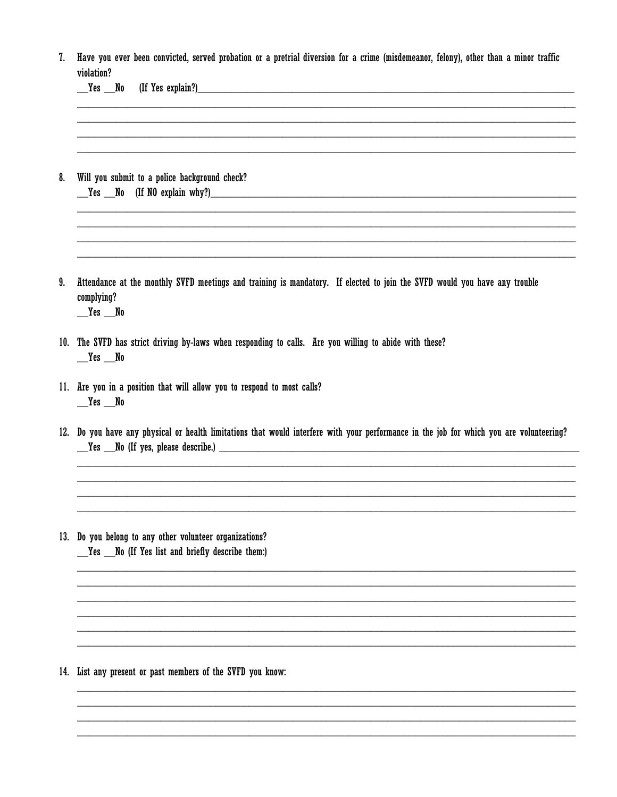| 7. Have you ever been convicted, served probation or a pretrial diversion for a crime (misdemeanor, felony), other than a minor traffic |  |  |  |  |  |  |  |
|-----------------------------------------------------------------------------------------------------------------------------------------|--|--|--|--|--|--|--|
| violation?                                                                                                                              |  |  |  |  |  |  |  |

|    | (If Yes explain?)<br>(If Yes explain?)<br>__Yes __No                                                                                                                                                                                                                           |
|----|--------------------------------------------------------------------------------------------------------------------------------------------------------------------------------------------------------------------------------------------------------------------------------|
| 8. | Will you submit to a police background check?<br>Yes No (If NO explain why?) Note that the set of the set of the set of the set of the set of the set of the set of the set of the set of the set of the set of the set of the set of the set of the set of the set of the set |
| 9. | Attendance at the monthly SVFD meetings and training is mandatory. If elected to join the SVFD would you have any trouble<br>complying?<br>$\mathbb{Z}$ Yes $\mathbb{Z}$ No                                                                                                    |
|    | 10. The SVFD has strict driving by-laws when responding to calls. Are you willing to abide with these?<br>$r = Y$ es $r = N$ o                                                                                                                                                 |
|    | 11. Are you in a position that will allow you to respond to most calls?<br>$r = Y$ es $r = N$ o                                                                                                                                                                                |
|    | 12. Do you have any physical or health limitations that would interfere with your performance in the job for which you are volunteering?<br>No (If yes, please describe.) No all the series of the series of the series of the series of the series of the                     |
|    |                                                                                                                                                                                                                                                                                |
|    | 13. Do you belong to any other volunteer organizations?<br>__Yes __No (If Yes list and briefly describe them:)                                                                                                                                                                 |

14. List any present or past members of the SVFD you know: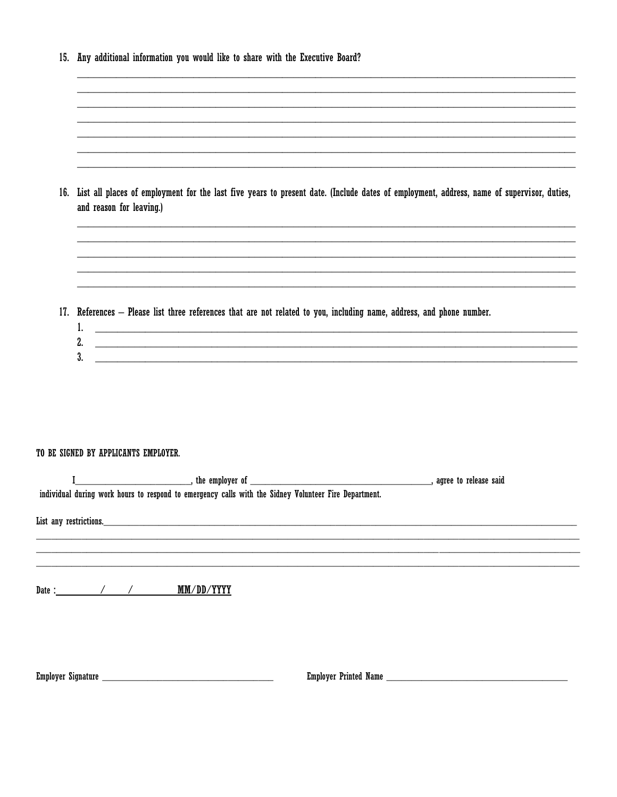| 15. | Any additional information you would like to share with the Executive Board?                                                                                          |
|-----|-----------------------------------------------------------------------------------------------------------------------------------------------------------------------|
|     |                                                                                                                                                                       |
|     |                                                                                                                                                                       |
|     |                                                                                                                                                                       |
|     |                                                                                                                                                                       |
|     |                                                                                                                                                                       |
| 16. | List all places of employment for the last five years to present date. (Include dates of employment, address, name of supervisor, duties,<br>and reason for leaving.) |
|     |                                                                                                                                                                       |
|     |                                                                                                                                                                       |
|     |                                                                                                                                                                       |
|     |                                                                                                                                                                       |
|     | 17. References - Please list three references that are not related to you, including name, address, and phone number.                                                 |
|     |                                                                                                                                                                       |
|     | l.                                                                                                                                                                    |
|     | 2.<br>and the control of the control of the control of the control of the control of the control of the control of the<br>3.                                          |

#### TO BE SIGNED BY APPLICANTS EMPLOYER.

|                        |  | individual during work hours to respond to emergency calls with the Sidney Volunteer Fire Department. |                       |  |  |  |
|------------------------|--|-------------------------------------------------------------------------------------------------------|-----------------------|--|--|--|
| List any restrictions. |  |                                                                                                       |                       |  |  |  |
|                        |  |                                                                                                       |                       |  |  |  |
| Date: $\frac{1}{2}$ /  |  | MM/DD/YYYY                                                                                            |                       |  |  |  |
|                        |  |                                                                                                       |                       |  |  |  |
|                        |  | Employer Signature                                                                                    | Employer Printed Name |  |  |  |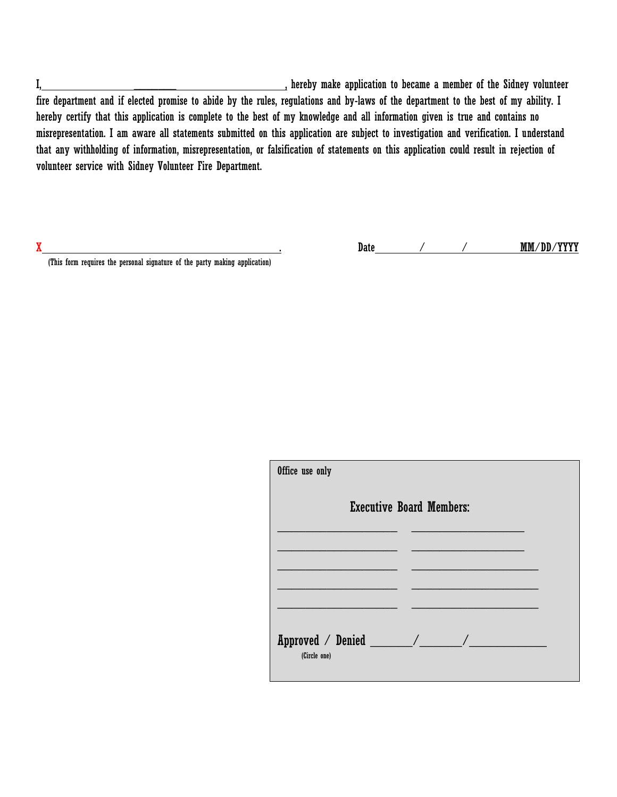I, \_\_\_\_\_\_\_ , hereby make application to became a member of the Sidney volunteer fire department and if elected promise to abide by the rules, regulations and by-laws of the department to the best of my ability. I hereby certify that this application is complete to the best of my knowledge and all information given is true and contains no misrepresentation. I am aware all statements submitted on this application are subject to investigation and verification. I understand that any withholding of information, misrepresentation, or falsification of statements on this application could result in rejection of volunteer service with Sidney Volunteer Fire Department.

(This form requires the personal signature of the party making application)

X . Date / / / MM/DD/YYYY

| Office use only |                                 |
|-----------------|---------------------------------|
|                 | <b>Executive Board Members:</b> |
|                 |                                 |
|                 |                                 |
| (Circle one)    |                                 |